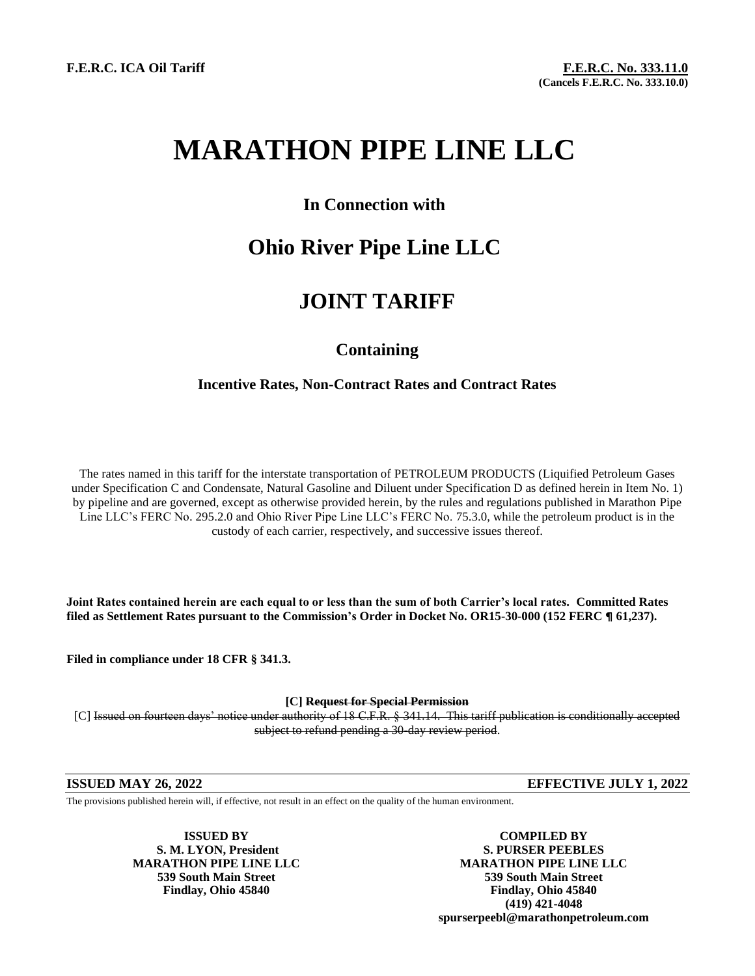# **MARATHON PIPE LINE LLC**

### **In Connection with**

## **Ohio River Pipe Line LLC**

### **JOINT TARIFF**

### **Containing**

### **Incentive Rates, Non-Contract Rates and Contract Rates**

The rates named in this tariff for the interstate transportation of PETROLEUM PRODUCTS (Liquified Petroleum Gases under Specification C and Condensate, Natural Gasoline and Diluent under Specification D as defined herein in Item No. 1) by pipeline and are governed, except as otherwise provided herein, by the rules and regulations published in Marathon Pipe Line LLC's FERC No. 295.2.0 and Ohio River Pipe Line LLC's FERC No. 75.3.0, while the petroleum product is in the custody of each carrier, respectively, and successive issues thereof.

**Joint Rates contained herein are each equal to or less than the sum of both Carrier's local rates. Committed Rates filed as Settlement Rates pursuant to the Commission's Order in Docket No. OR15-30-000 (152 FERC ¶ 61,237).**

**Filed in compliance under 18 CFR § 341.3.**

**[C] Request for Special Permission**

[C] Issued on fourteen days' notice under authority of 18 C.F.R. § 341.14. This tariff publication is conditionally accepted subject to refund pending a 30-day review period.

**ISSUED MAY 26, 2022 EFFECTIVE JULY 1, 2022**

The provisions published herein will, if effective, not result in an effect on the quality of the human environment.

**ISSUED BY COMPILED BY S. M. LYON, President S. PURSER PEEBLES MARATHON PIPE LINE LLC MARATHON PIPE LINE LLC 539 South Main Street 539 South Main Street Findlay, Ohio 45840 Findlay, Ohio 45840 (419) 421-4048 spurserpeebl@marathonpetroleum.com**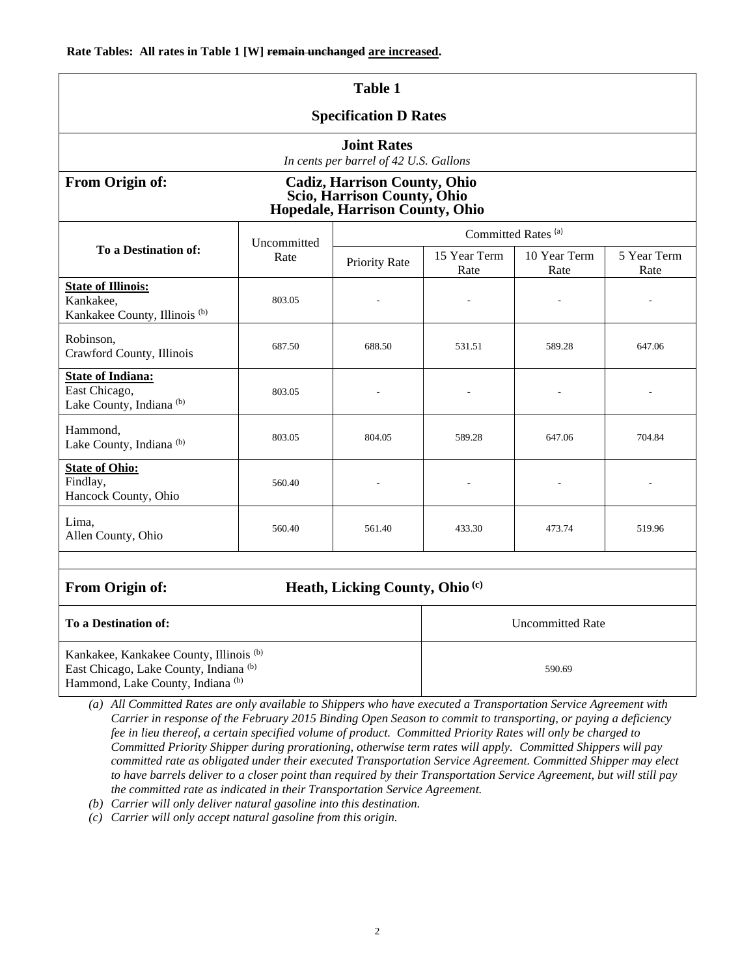| <b>Table 1</b>                                                                                                                                          |                     |                                |                         |                      |                     |  |  |
|---------------------------------------------------------------------------------------------------------------------------------------------------------|---------------------|--------------------------------|-------------------------|----------------------|---------------------|--|--|
| <b>Specification D Rates</b>                                                                                                                            |                     |                                |                         |                      |                     |  |  |
| <b>Joint Rates</b><br>In cents per barrel of 42 U.S. Gallons                                                                                            |                     |                                |                         |                      |                     |  |  |
| From Origin of:<br><b>Cadiz, Harrison County, Ohio</b><br>Scio, Harrison County, Ohio<br><b>Hopedale, Harrison County, Ohio</b>                         |                     |                                |                         |                      |                     |  |  |
| To a Destination of:                                                                                                                                    | Uncommitted<br>Rate | Committed Rates <sup>(a)</sup> |                         |                      |                     |  |  |
|                                                                                                                                                         |                     | Priority Rate                  | 15 Year Term<br>Rate    | 10 Year Term<br>Rate | 5 Year Term<br>Rate |  |  |
| <b>State of Illinois:</b><br>Kankakee,<br>Kankakee County, Illinois <sup>(b)</sup>                                                                      | 803.05              |                                | J.                      |                      |                     |  |  |
| Robinson,<br>Crawford County, Illinois                                                                                                                  | 687.50              | 688.50                         | 531.51                  | 589.28               | 647.06              |  |  |
| <b>State of Indiana:</b><br>East Chicago,<br>Lake County, Indiana <sup>(b)</sup>                                                                        | 803.05              |                                |                         |                      |                     |  |  |
| Hammond,<br>Lake County, Indiana <sup>(b)</sup>                                                                                                         | 803.05              | 804.05                         | 589.28                  | 647.06               | 704.84              |  |  |
| <b>State of Ohio:</b><br>Findlay,<br>Hancock County, Ohio                                                                                               | 560.40              |                                |                         |                      |                     |  |  |
| Lima,<br>Allen County, Ohio                                                                                                                             | 560.40              | 561.40                         | 433.30                  | 473.74               | 519.96              |  |  |
|                                                                                                                                                         |                     |                                |                         |                      |                     |  |  |
| From Origin of:<br>Heath, Licking County, Ohio <sup>(c)</sup>                                                                                           |                     |                                |                         |                      |                     |  |  |
| <b>To a Destination of:</b>                                                                                                                             |                     |                                | <b>Uncommitted Rate</b> |                      |                     |  |  |
| Kankakee, Kankakee County, Illinois <sup>(b)</sup><br>East Chicago, Lake County, Indiana <sup>(b)</sup><br>Hammond, Lake County, Indiana <sup>(b)</sup> |                     |                                | 590.69                  |                      |                     |  |  |

*(a) All Committed Rates are only available to Shippers who have executed a Transportation Service Agreement with Carrier in response of the February 2015 Binding Open Season to commit to transporting, or paying a deficiency fee in lieu thereof, a certain specified volume of product. Committed Priority Rates will only be charged to Committed Priority Shipper during prorationing, otherwise term rates will apply. Committed Shippers will pay committed rate as obligated under their executed Transportation Service Agreement. Committed Shipper may elect to have barrels deliver to a closer point than required by their Transportation Service Agreement, but will still pay the committed rate as indicated in their Transportation Service Agreement.* 

- *(b) Carrier will only deliver natural gasoline into this destination.*
- *(c) Carrier will only accept natural gasoline from this origin.*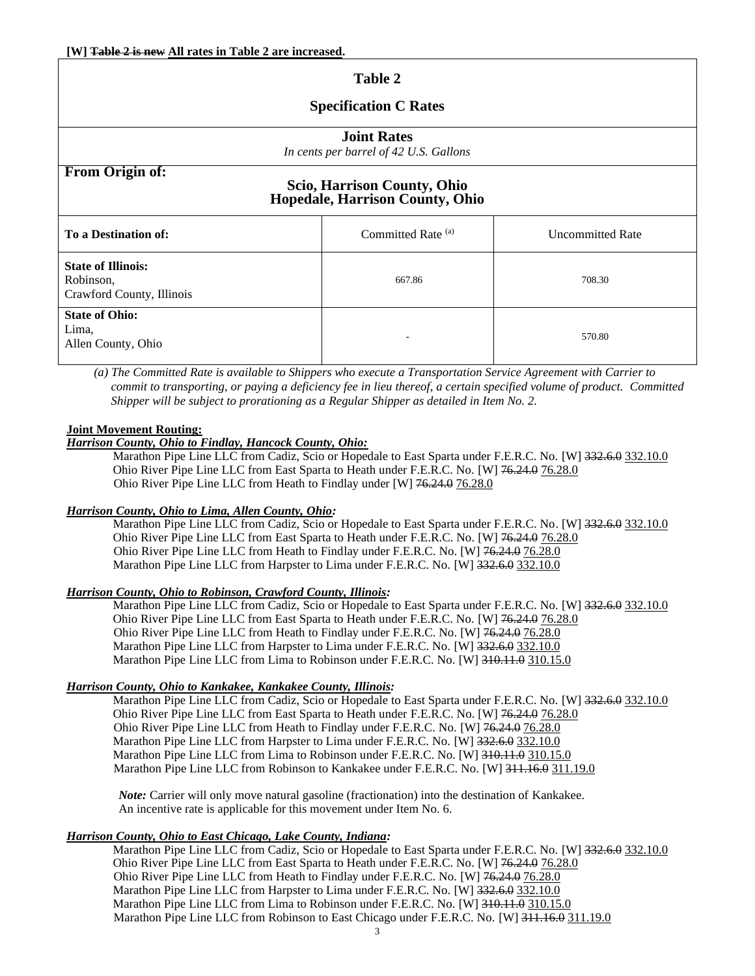### **Table 2 Specification C Rates Joint Rates** *In cents per barrel of 42 U.S. Gallons* **From Origin of: Scio, Harrison County, Ohio Hopedale, Harrison County, Ohio To a Destination of:** Committed Rate (a) Uncommitted Rate (a) **State of Illinois:** Robinson, Crawford County, Illinois 667.86 708.30 **State of Ohio:** Lima, Allen County, Ohio 570.80

*(a) The Committed Rate is available to Shippers who execute a Transportation Service Agreement with Carrier to commit to transporting, or paying a deficiency fee in lieu thereof, a certain specified volume of product. Committed Shipper will be subject to prorationing as a Regular Shipper as detailed in Item No. 2.*

#### **Joint Movement Routing:**

#### *Harrison County, Ohio to Findlay, Hancock County, Ohio:*

Marathon Pipe Line LLC from Cadiz, Scio or Hopedale to East Sparta under F.E.R.C. No. [W] 332.6.0 332.10.0 Ohio River Pipe Line LLC from East Sparta to Heath under F.E.R.C. No. [W] 76.24.0 76.28.0 Ohio River Pipe Line LLC from Heath to Findlay under [W] 76.24.0 76.28.0

#### *Harrison County, Ohio to Lima, Allen County, Ohio:*

Marathon Pipe Line LLC from Cadiz, Scio or Hopedale to East Sparta under F.E.R.C. No. [W] 332.6.0 332.10.0 Ohio River Pipe Line LLC from East Sparta to Heath under F.E.R.C. No. [W] 76.24.0 76.28.0 Ohio River Pipe Line LLC from Heath to Findlay under F.E.R.C. No. [W] 76.24.0 76.28.0 Marathon Pipe Line LLC from Harpster to Lima under F.E.R.C. No. [W] 332.6.0 332.10.0

#### *Harrison County, Ohio to Robinson, Crawford County, Illinois:*

Marathon Pipe Line LLC from Cadiz, Scio or Hopedale to East Sparta under F.E.R.C. No. [W] 332.6.0 332.10.0 Ohio River Pipe Line LLC from East Sparta to Heath under F.E.R.C. No. [W] 76.24.0 76.28.0 Ohio River Pipe Line LLC from Heath to Findlay under F.E.R.C. No. [W] 76.24.0 76.28.0 Marathon Pipe Line LLC from Harpster to Lima under F.E.R.C. No. [W] 332.6.0 332.10.0 Marathon Pipe Line LLC from Lima to Robinson under F.E.R.C. No. [W] 310.11.0 310.15.0

#### *Harrison County, Ohio to Kankakee, Kankakee County, Illinois:*

Marathon Pipe Line LLC from Cadiz, Scio or Hopedale to East Sparta under F.E.R.C. No. [W] 332.6.0 332.10.0 Ohio River Pipe Line LLC from East Sparta to Heath under F.E.R.C. No. [W] 76.24.0 76.28.0 Ohio River Pipe Line LLC from Heath to Findlay under F.E.R.C. No. [W] 76.24.0 76.28.0 Marathon Pipe Line LLC from Harpster to Lima under F.E.R.C. No. [W] 332.6.0 332.10.0 Marathon Pipe Line LLC from Lima to Robinson under F.E.R.C. No. [W] 310.11.4 310.15.0 Marathon Pipe Line LLC from Robinson to Kankakee under F.E.R.C. No. [W] 311.16.0 311.19.0

 *Note:* Carrier will only move natural gasoline (fractionation) into the destination of Kankakee. An incentive rate is applicable for this movement under Item No. 6.

#### *Harrison County, Ohio to East Chicago, Lake County, Indiana:*

Marathon Pipe Line LLC from Cadiz, Scio or Hopedale to East Sparta under F.E.R.C. No. [W] 332.6.0 332.10.0 Ohio River Pipe Line LLC from East Sparta to Heath under F.E.R.C. No. [W] 76.24.0 76.28.0 Ohio River Pipe Line LLC from Heath to Findlay under F.E.R.C. No. [W] 76.24.0 76.28.0 Marathon Pipe Line LLC from Harpster to Lima under F.E.R.C. No. [W] 332.6.0 332.10.0 Marathon Pipe Line LLC from Lima to Robinson under F.E.R.C. No. [W] 310.11.0 310.15.0 Marathon Pipe Line LLC from Robinson to East Chicago under F.E.R.C. No. [W] 311.16.0 311.19.0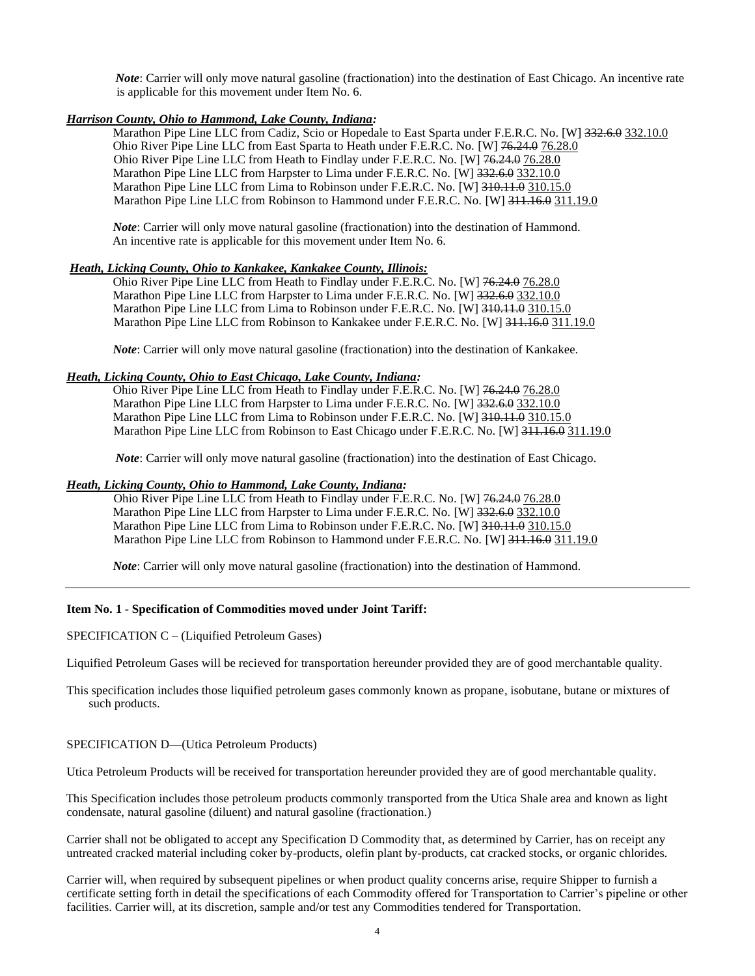*Note*: Carrier will only move natural gasoline (fractionation) into the destination of East Chicago. An incentive rate is applicable for this movement under Item No. 6.

#### *Harrison County, Ohio to Hammond, Lake County, Indiana:*

Marathon Pipe Line LLC from Cadiz, Scio or Hopedale to East Sparta under F.E.R.C. No. [W] 332.6.0 332.10.0 Ohio River Pipe Line LLC from East Sparta to Heath under F.E.R.C. No. [W] 76.24.0 76.28.0 Ohio River Pipe Line LLC from Heath to Findlay under F.E.R.C. No. [W] 76.24.0 76.28.0 Marathon Pipe Line LLC from Harpster to Lima under F.E.R.C. No. [W] 332.6.0 332.10.0 Marathon Pipe Line LLC from Lima to Robinson under F.E.R.C. No. [W] 310.11.0 310.15.0 Marathon Pipe Line LLC from Robinson to Hammond under F.E.R.C. No. [W] 311.16.0 311.19.0

 *Note*: Carrier will only move natural gasoline (fractionation) into the destination of Hammond. An incentive rate is applicable for this movement under Item No. 6.

#### *Heath, Licking County, Ohio to Kankakee, Kankakee County, Illinois:*

 Ohio River Pipe Line LLC from Heath to Findlay under F.E.R.C. No. [W] 76.24.0 76.28.0 Marathon Pipe Line LLC from Harpster to Lima under F.E.R.C. No. [W] 332.6.0 332.10.0 Marathon Pipe Line LLC from Lima to Robinson under F.E.R.C. No. [W] 310.11.4 310.15.0 Marathon Pipe Line LLC from Robinson to Kankakee under F.E.R.C. No. [W] 311.16.0 311.19.0

 *Note*: Carrier will only move natural gasoline (fractionation) into the destination of Kankakee.

#### *Heath, Licking County, Ohio to East Chicago, Lake County, Indiana:*

 Ohio River Pipe Line LLC from Heath to Findlay under F.E.R.C. No. [W] 76.24.0 76.28.0 Marathon Pipe Line LLC from Harpster to Lima under F.E.R.C. No. [W] 332.6.0 332.10.0 Marathon Pipe Line LLC from Lima to Robinson under F.E.R.C. No. [W] 310.11.1.0 310.15.0 Marathon Pipe Line LLC from Robinson to East Chicago under F.E.R.C. No. [W] 311.16.0 311.19.0

*Note*: Carrier will only move natural gasoline (fractionation) into the destination of East Chicago.

#### *Heath, Licking County, Ohio to Hammond, Lake County, Indiana:*

 Ohio River Pipe Line LLC from Heath to Findlay under F.E.R.C. No. [W] 76.24.0 76.28.0 Marathon Pipe Line LLC from Harpster to Lima under F.E.R.C. No. [W] 332.6.0 332.10.0 Marathon Pipe Line LLC from Lima to Robinson under F.E.R.C. No. [W] 310.11.1.0 310.15.0 Marathon Pipe Line LLC from Robinson to Hammond under F.E.R.C. No. [W] 311.16.0 311.19.0

*Note*: Carrier will only move natural gasoline (fractionation) into the destination of Hammond.

#### **Item No. 1 - Specification of Commodities moved under Joint Tariff:**

SPECIFICATION C – (Liquified Petroleum Gases)

Liquified Petroleum Gases will be recieved for transportation hereunder provided they are of good merchantable quality.

This specification includes those liquified petroleum gases commonly known as propane, isobutane, butane or mixtures of such products.

#### SPECIFICATION D—(Utica Petroleum Products)

Utica Petroleum Products will be received for transportation hereunder provided they are of good merchantable quality.

 This Specification includes those petroleum products commonly transported from the Utica Shale area and known as light condensate, natural gasoline (diluent) and natural gasoline (fractionation.)

Carrier shall not be obligated to accept any Specification D Commodity that, as determined by Carrier, has on receipt any untreated cracked material including coker by-products, olefin plant by-products, cat cracked stocks, or organic chlorides.

Carrier will, when required by subsequent pipelines or when product quality concerns arise, require Shipper to furnish a certificate setting forth in detail the specifications of each Commodity offered for Transportation to Carrier's pipeline or other facilities. Carrier will, at its discretion, sample and/or test any Commodities tendered for Transportation.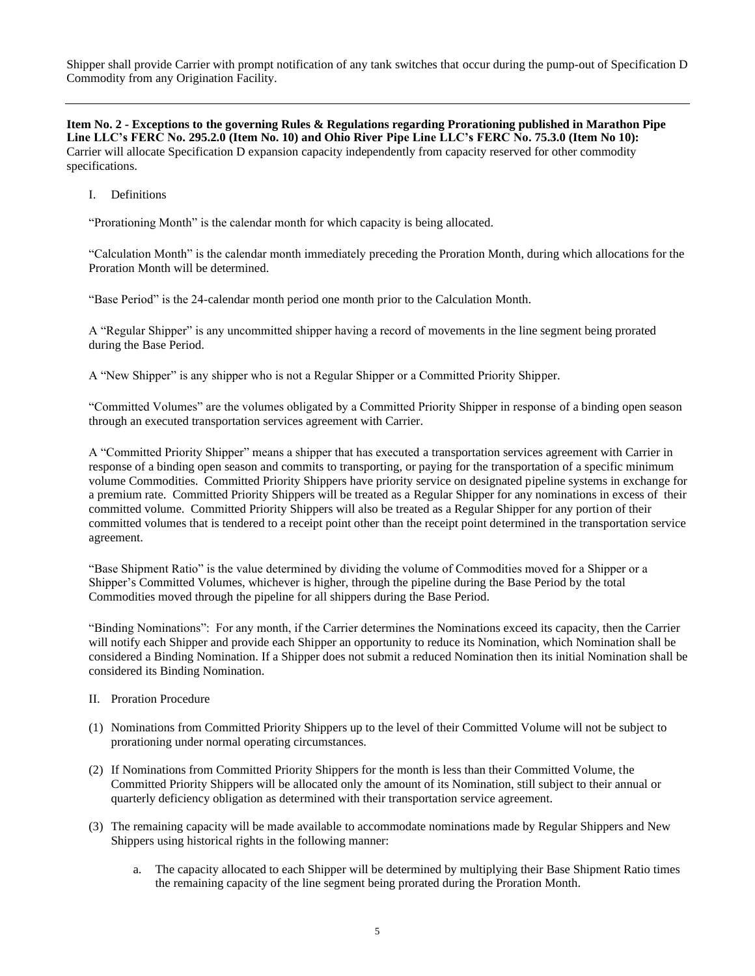Shipper shall provide Carrier with prompt notification of any tank switches that occur during the pump-out of Specification D Commodity from any Origination Facility.

**Item No. 2 - Exceptions to the governing Rules & Regulations regarding Prorationing published in Marathon Pipe Line LLC's FERC No. 295.2.0 (Item No. 10) and Ohio River Pipe Line LLC's FERC No. 75.3.0 (Item No 10):** Carrier will allocate Specification D expansion capacity independently from capacity reserved for other commodity specifications.

I. Definitions

"Prorationing Month" is the calendar month for which capacity is being allocated.

"Calculation Month" is the calendar month immediately preceding the Proration Month, during which allocations for the Proration Month will be determined.

"Base Period" is the 24-calendar month period one month prior to the Calculation Month.

A "Regular Shipper" is any uncommitted shipper having a record of movements in the line segment being prorated during the Base Period.

A "New Shipper" is any shipper who is not a Regular Shipper or a Committed Priority Shipper.

"Committed Volumes" are the volumes obligated by a Committed Priority Shipper in response of a binding open season through an executed transportation services agreement with Carrier.

A "Committed Priority Shipper" means a shipper that has executed a transportation services agreement with Carrier in response of a binding open season and commits to transporting, or paying for the transportation of a specific minimum volume Commodities. Committed Priority Shippers have priority service on designated pipeline systems in exchange for a premium rate. Committed Priority Shippers will be treated as a Regular Shipper for any nominations in excess of their committed volume. Committed Priority Shippers will also be treated as a Regular Shipper for any portion of their committed volumes that is tendered to a receipt point other than the receipt point determined in the transportation service agreement.

"Base Shipment Ratio" is the value determined by dividing the volume of Commodities moved for a Shipper or a Shipper's Committed Volumes, whichever is higher, through the pipeline during the Base Period by the total Commodities moved through the pipeline for all shippers during the Base Period.

"Binding Nominations": For any month, if the Carrier determines the Nominations exceed its capacity, then the Carrier will notify each Shipper and provide each Shipper an opportunity to reduce its Nomination, which Nomination shall be considered a Binding Nomination. If a Shipper does not submit a reduced Nomination then its initial Nomination shall be considered its Binding Nomination.

- II. Proration Procedure
- (1) Nominations from Committed Priority Shippers up to the level of their Committed Volume will not be subject to prorationing under normal operating circumstances.
- (2) If Nominations from Committed Priority Shippers for the month is less than their Committed Volume, the Committed Priority Shippers will be allocated only the amount of its Nomination, still subject to their annual or quarterly deficiency obligation as determined with their transportation service agreement.
- (3) The remaining capacity will be made available to accommodate nominations made by Regular Shippers and New Shippers using historical rights in the following manner:
	- a. The capacity allocated to each Shipper will be determined by multiplying their Base Shipment Ratio times the remaining capacity of the line segment being prorated during the Proration Month.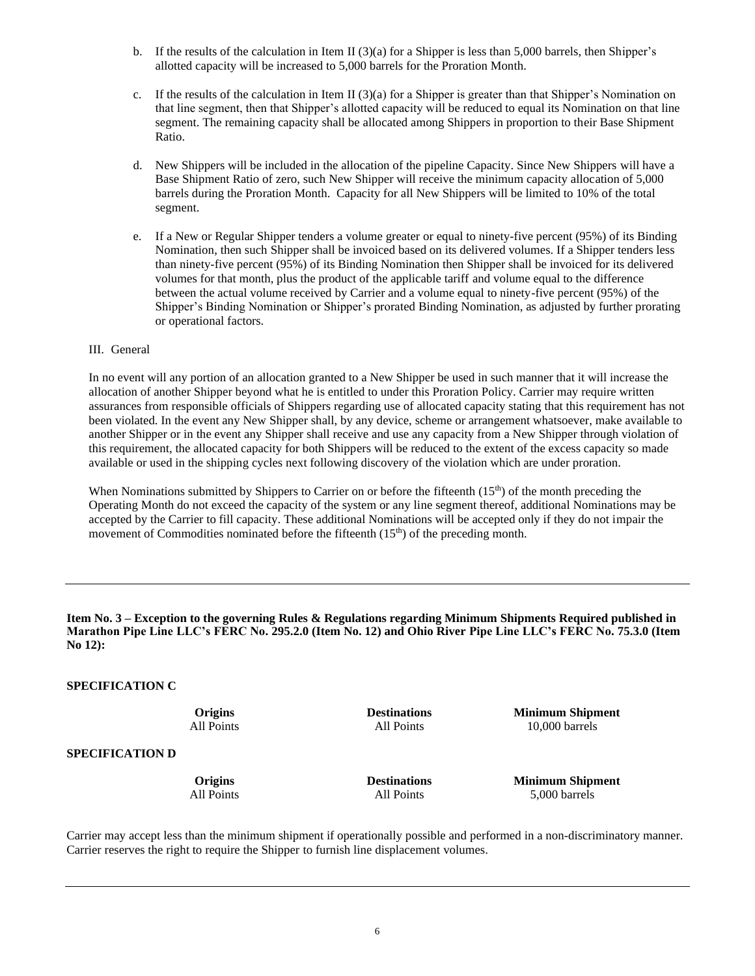- b. If the results of the calculation in Item II (3)(a) for a Shipper is less than 5,000 barrels, then Shipper's allotted capacity will be increased to 5,000 barrels for the Proration Month.
- c. If the results of the calculation in Item II (3)(a) for a Shipper is greater than that Shipper's Nomination on that line segment, then that Shipper's allotted capacity will be reduced to equal its Nomination on that line segment. The remaining capacity shall be allocated among Shippers in proportion to their Base Shipment Ratio.
- d. New Shippers will be included in the allocation of the pipeline Capacity. Since New Shippers will have a Base Shipment Ratio of zero, such New Shipper will receive the minimum capacity allocation of 5,000 barrels during the Proration Month. Capacity for all New Shippers will be limited to 10% of the total segment.
- e. If a New or Regular Shipper tenders a volume greater or equal to ninety-five percent (95%) of its Binding Nomination, then such Shipper shall be invoiced based on its delivered volumes. If a Shipper tenders less than ninety-five percent (95%) of its Binding Nomination then Shipper shall be invoiced for its delivered volumes for that month, plus the product of the applicable tariff and volume equal to the difference between the actual volume received by Carrier and a volume equal to ninety-five percent (95%) of the Shipper's Binding Nomination or Shipper's prorated Binding Nomination, as adjusted by further prorating or operational factors.

#### III. General

In no event will any portion of an allocation granted to a New Shipper be used in such manner that it will increase the allocation of another Shipper beyond what he is entitled to under this Proration Policy. Carrier may require written assurances from responsible officials of Shippers regarding use of allocated capacity stating that this requirement has not been violated. In the event any New Shipper shall, by any device, scheme or arrangement whatsoever, make available to another Shipper or in the event any Shipper shall receive and use any capacity from a New Shipper through violation of this requirement, the allocated capacity for both Shippers will be reduced to the extent of the excess capacity so made available or used in the shipping cycles next following discovery of the violation which are under proration.

When Nominations submitted by Shippers to Carrier on or before the fifteenth (15<sup>th</sup>) of the month preceding the Operating Month do not exceed the capacity of the system or any line segment thereof, additional Nominations may be accepted by the Carrier to fill capacity. These additional Nominations will be accepted only if they do not impair the movement of Commodities nominated before the fifteenth  $(15<sup>th</sup>)$  of the preceding month.

**Item No. 3 – Exception to the governing Rules & Regulations regarding Minimum Shipments Required published in Marathon Pipe Line LLC's FERC No. 295.2.0 (Item No. 12) and Ohio River Pipe Line LLC's FERC No. 75.3.0 (Item No 12):**

#### **SPECIFICATION C**

**Origins Destinations Minimum Shipment**<br>All Points **All Points Minimum Shipment** All Points 10,000 barrels

**SPECIFICATION D**

**Origins Destinations Minimum Shipment** All Points **All Points** 5,000 barrels

Carrier may accept less than the minimum shipment if operationally possible and performed in a non-discriminatory manner. Carrier reserves the right to require the Shipper to furnish line displacement volumes.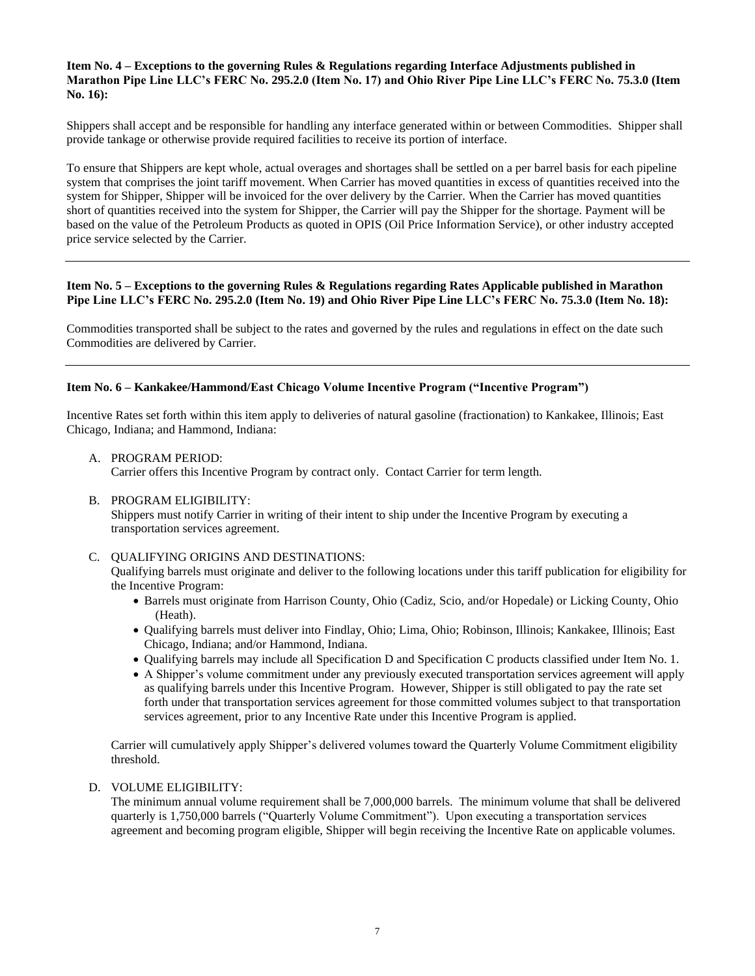#### **Item No. 4 – Exceptions to the governing Rules & Regulations regarding Interface Adjustments published in Marathon Pipe Line LLC's FERC No. 295.2.0 (Item No. 17) and Ohio River Pipe Line LLC's FERC No. 75.3.0 (Item No. 16):**

Shippers shall accept and be responsible for handling any interface generated within or between Commodities. Shipper shall provide tankage or otherwise provide required facilities to receive its portion of interface.

To ensure that Shippers are kept whole, actual overages and shortages shall be settled on a per barrel basis for each pipeline system that comprises the joint tariff movement. When Carrier has moved quantities in excess of quantities received into the system for Shipper, Shipper will be invoiced for the over delivery by the Carrier. When the Carrier has moved quantities short of quantities received into the system for Shipper, the Carrier will pay the Shipper for the shortage. Payment will be based on the value of the Petroleum Products as quoted in OPIS (Oil Price Information Service), or other industry accepted price service selected by the Carrier.

#### **Item No. 5 – Exceptions to the governing Rules & Regulations regarding Rates Applicable published in Marathon Pipe Line LLC's FERC No. 295.2.0 (Item No. 19) and Ohio River Pipe Line LLC's FERC No. 75.3.0 (Item No. 18):**

Commodities transported shall be subject to the rates and governed by the rules and regulations in effect on the date such Commodities are delivered by Carrier.

#### **Item No. 6 – Kankakee/Hammond/East Chicago Volume Incentive Program ("Incentive Program")**

Incentive Rates set forth within this item apply to deliveries of natural gasoline (fractionation) to Kankakee, Illinois; East Chicago, Indiana; and Hammond, Indiana:

A. PROGRAM PERIOD:

Carrier offers this Incentive Program by contract only. Contact Carrier for term length.

B. PROGRAM ELIGIBILITY:

Shippers must notify Carrier in writing of their intent to ship under the Incentive Program by executing a transportation services agreement.

#### C. QUALIFYING ORIGINS AND DESTINATIONS:

Qualifying barrels must originate and deliver to the following locations under this tariff publication for eligibility for the Incentive Program:

- Barrels must originate from Harrison County, Ohio (Cadiz, Scio, and/or Hopedale) or Licking County, Ohio (Heath).
- Qualifying barrels must deliver into Findlay, Ohio; Lima, Ohio; Robinson, Illinois; Kankakee, Illinois; East Chicago, Indiana; and/or Hammond, Indiana.
- Qualifying barrels may include all Specification D and Specification C products classified under Item No. 1.
- A Shipper's volume commitment under any previously executed transportation services agreement will apply as qualifying barrels under this Incentive Program. However, Shipper is still obligated to pay the rate set forth under that transportation services agreement for those committed volumes subject to that transportation services agreement, prior to any Incentive Rate under this Incentive Program is applied.

Carrier will cumulatively apply Shipper's delivered volumes toward the Quarterly Volume Commitment eligibility threshold.

#### D. VOLUME ELIGIBILITY:

The minimum annual volume requirement shall be 7,000,000 barrels. The minimum volume that shall be delivered quarterly is 1,750,000 barrels ("Quarterly Volume Commitment"). Upon executing a transportation services agreement and becoming program eligible, Shipper will begin receiving the Incentive Rate on applicable volumes.